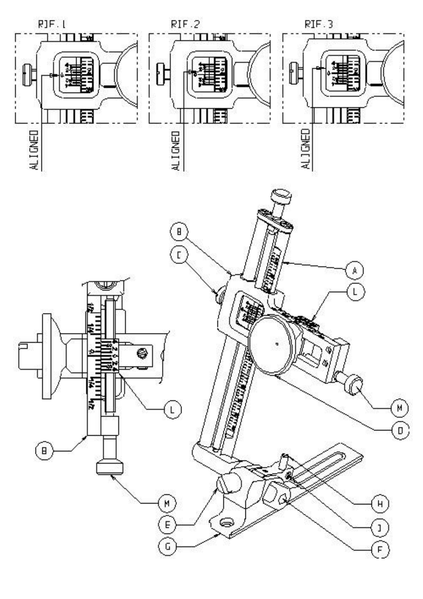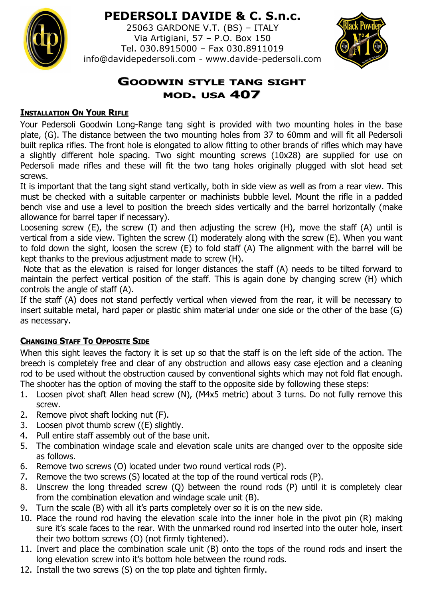

# **PEDERSOLI DAVIDE & C. S.n.c.**

25063 GARDONE V.T. (BS) – ITALY Via Artigiani, 57 – P.O. Box 150 Tel. 030.8915000 – Fax 030.8911019 info@davidepedersoli.com - www.davide-pedersoli.com



## **GOODWIN STYLE TANG SIGHT MOD. USA 407**

#### **INSTALLATION ON YOUR RIFLE**

Your Pedersoli Goodwin Long-Range tang sight is provided with two mounting holes in the base plate, (G). The distance between the two mounting holes from 37 to 60mm and will fit all Pedersoli built replica rifles. The front hole is elongated to allow fitting to other brands of rifles which may have a slightly different hole spacing. Two sight mounting screws (10x28) are supplied for use on Pedersoli made rifles and these will fit the two tang holes originally plugged with slot head set screws.

It is important that the tang sight stand vertically, both in side view as well as from a rear view. This must be checked with a suitable carpenter or machinists bubble level. Mount the rifle in a padded bench vise and use a level to position the breech sides vertically and the barrel horizontally (make allowance for barrel taper if necessary).

Loosening screw (E), the screw (I) and then adjusting the screw (H), move the staff (A) until is vertical from a side view. Tighten the screw (I) moderately along with the screw (E). When you want to fold down the sight, loosen the screw (E) to fold staff (A) The alignment with the barrel will be kept thanks to the previous adjustment made to screw (H).

 Note that as the elevation is raised for longer distances the staff (A) needs to be tilted forward to maintain the perfect vertical position of the staff. This is again done by changing screw (H) which controls the angle of staff (A).

If the staff (A) does not stand perfectly vertical when viewed from the rear, it will be necessary to insert suitable metal, hard paper or plastic shim material under one side or the other of the base (G) as necessary.

## **CHANGING STAFF TO OPPOSITE SIDE**

When this sight leaves the factory it is set up so that the staff is on the left side of the action. The breech is completely free and clear of any obstruction and allows easy case ejection and a cleaning rod to be used without the obstruction caused by conventional sights which may not fold flat enough. The shooter has the option of moving the staff to the opposite side by following these steps:

- 1. Loosen pivot shaft Allen head screw (N), (M4x5 metric) about 3 turns. Do not fully remove this screw.
- 2. Remove pivot shaft locking nut (F).
- 3. Loosen pivot thumb screw ((E) slightly.
- 4. Pull entire staff assembly out of the base unit.
- 5. The combination windage scale and elevation scale units are changed over to the opposite side as follows.
- 6. Remove two screws (O) located under two round vertical rods (P).
- 7. Remove the two screws (S) located at the top of the round vertical rods (P).
- 8. Unscrew the long threaded screw (Q) between the round rods (P) until it is completely clear from the combination elevation and windage scale unit (B).
- 9. Turn the scale (B) with all it's parts completely over so it is on the new side.
- 10. Place the round rod having the elevation scale into the inner hole in the pivot pin (R) making sure it's scale faces to the rear. With the unmarked round rod inserted into the outer hole, insert their two bottom screws (O) (not firmly tightened).
- 11. Invert and place the combination scale unit (B) onto the tops of the round rods and insert the long elevation screw into it's bottom hole between the round rods.
- 12. Install the two screws (S) on the top plate and tighten firmly.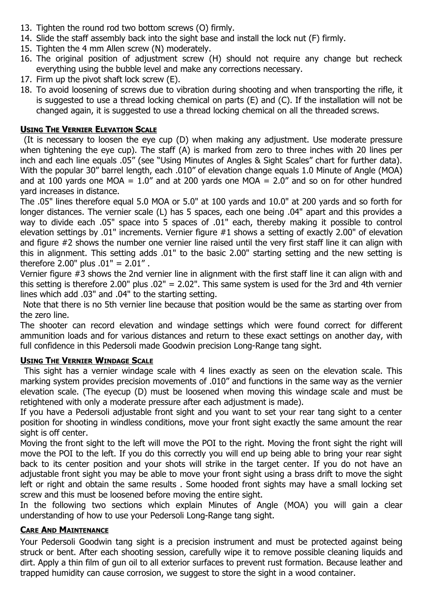- 13. Tighten the round rod two bottom screws (O) firmly.
- 14. Slide the staff assembly back into the sight base and install the lock nut (F) firmly.
- 15. Tighten the 4 mm Allen screw (N) moderately.
- 16. The original position of adjustment screw (H) should not require any change but recheck everything using the bubble level and make any corrections necessary.
- 17. Firm up the pivot shaft lock screw (E).
- 18. To avoid loosening of screws due to vibration during shooting and when transporting the rifle, it is suggested to use a thread locking chemical on parts (E) and (C). If the installation will not be changed again, it is suggested to use a thread locking chemical on all the threaded screws.

### **USING THE VERNIER ELEVATION SCALE**

 (It is necessary to loosen the eye cup (D) when making any adjustment. Use moderate pressure when tightening the eye cup). The staff (A) is marked from zero to three inches with 20 lines per inch and each line equals .05" (see "Using Minutes of Angles & Sight Scales" chart for further data). With the popular 30" barrel length, each .010" of elevation change equals 1.0 Minute of Angle (MOA) and at 100 yards one MOA =  $1.0''$  and at 200 yards one MOA =  $2.0''$  and so on for other hundred yard increases in distance.

The .05" lines therefore equal 5.0 MOA or 5.0" at 100 yards and 10.0" at 200 yards and so forth for longer distances. The vernier scale (L) has 5 spaces, each one being .04" apart and this provides a way to divide each .05" space into 5 spaces of .01" each, thereby making it possible to control elevation settings by .01" increments. Vernier figure #1 shows a setting of exactly 2.00" of elevation and figure #2 shows the number one vernier line raised until the very first staff line it can align with this in alignment. This setting adds .01" to the basic 2.00" starting setting and the new setting is therefore 2.00" plus .01" = 2.01" .

Vernier figure #3 shows the 2nd vernier line in alignment with the first staff line it can align with and this setting is therefore 2.00" plus .02" = 2.02". This same system is used for the 3rd and 4th vernier lines which add .03" and .04" to the starting setting.

 Note that there is no 5th vernier line because that position would be the same as starting over from the zero line.

The shooter can record elevation and windage settings which were found correct for different ammunition loads and for various distances and return to these exact settings on another day, with full confidence in this Pedersoli made Goodwin precision Long-Range tang sight.

#### **USING THE VERNIER WINDAGE SCALE**

 This sight has a vernier windage scale with 4 lines exactly as seen on the elevation scale. This marking system provides precision movements of .010" and functions in the same way as the vernier elevation scale. (The eyecup (D) must be loosened when moving this windage scale and must be retightened with only a moderate pressure after each adjustment is made).

If you have a Pedersoli adjustable front sight and you want to set your rear tang sight to a center position for shooting in windless conditions, move your front sight exactly the same amount the rear sight is off center.

Moving the front sight to the left will move the POI to the right. Moving the front sight the right will move the POI to the left. If you do this correctly you will end up being able to bring your rear sight back to its center position and your shots will strike in the target center. If you do not have an adjustable front sight you may be able to move your front sight using a brass drift to move the sight left or right and obtain the same results . Some hooded front sights may have a small locking set screw and this must be loosened before moving the entire sight.

In the following two sections which explain Minutes of Angle (MOA) you will gain a clear understanding of how to use your Pedersoli Long-Range tang sight.

#### **CARE AND MAINTENANCE**

Your Pedersoli Goodwin tang sight is a precision instrument and must be protected against being struck or bent. After each shooting session, carefully wipe it to remove possible cleaning liquids and dirt. Apply a thin film of gun oil to all exterior surfaces to prevent rust formation. Because leather and trapped humidity can cause corrosion, we suggest to store the sight in a wood container.